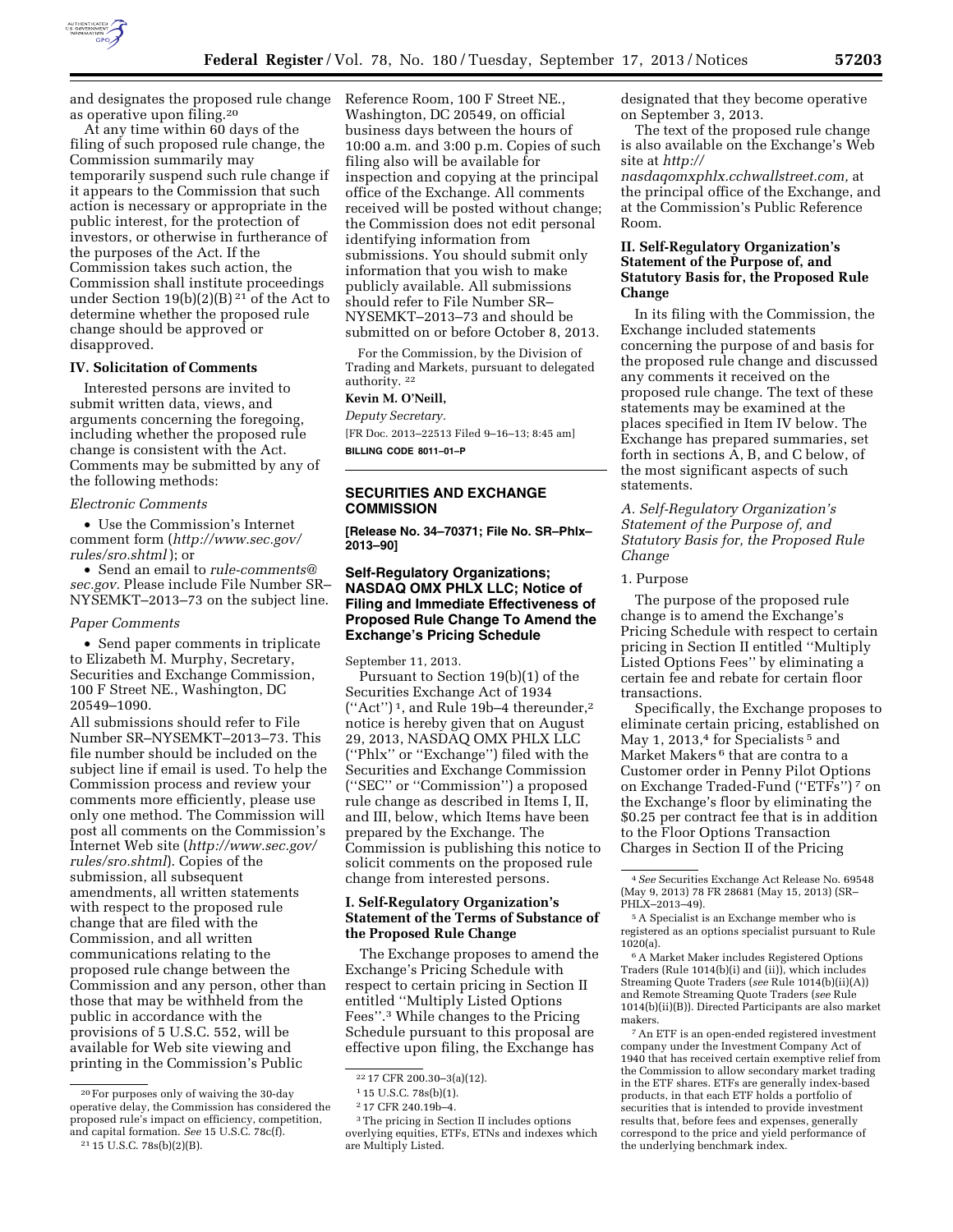

and designates the proposed rule change as operative upon filing.20

At any time within 60 days of the filing of such proposed rule change, the Commission summarily may temporarily suspend such rule change if it appears to the Commission that such action is necessary or appropriate in the public interest, for the protection of investors, or otherwise in furtherance of the purposes of the Act. If the Commission takes such action, the Commission shall institute proceedings under Section 19(b)(2)(B) 21 of the Act to determine whether the proposed rule change should be approved or disapproved.

### **IV. Solicitation of Comments**

Interested persons are invited to submit written data, views, and arguments concerning the foregoing, including whether the proposed rule change is consistent with the Act. Comments may be submitted by any of the following methods:

#### *Electronic Comments*

• Use the Commission's Internet comment form (*[http://www.sec.gov/](http://www.sec.gov/rules/sro.shtml) [rules/sro.shtml](http://www.sec.gov/rules/sro.shtml)* ); or

• Send an email to *[rule-comments@](mailto:rule-comments@sec.gov) [sec.gov.](mailto:rule-comments@sec.gov)* Please include File Number SR– NYSEMKT–2013–73 on the subject line.

### *Paper Comments*

• Send paper comments in triplicate to Elizabeth M. Murphy, Secretary, Securities and Exchange Commission, 100 F Street NE., Washington, DC 20549–1090.

All submissions should refer to File Number SR–NYSEMKT–2013–73. This file number should be included on the subject line if email is used. To help the Commission process and review your comments more efficiently, please use only one method. The Commission will post all comments on the Commission's Internet Web site (*[http://www.sec.gov/](http://www.sec.gov/rules/sro.shtml) [rules/sro.shtml](http://www.sec.gov/rules/sro.shtml)*). Copies of the submission, all subsequent amendments, all written statements with respect to the proposed rule change that are filed with the Commission, and all written communications relating to the proposed rule change between the Commission and any person, other than those that may be withheld from the public in accordance with the provisions of 5 U.S.C. 552, will be available for Web site viewing and printing in the Commission's Public

Reference Room, 100 F Street NE., Washington, DC 20549, on official business days between the hours of 10:00 a.m. and 3:00 p.m. Copies of such filing also will be available for inspection and copying at the principal office of the Exchange. All comments received will be posted without change; the Commission does not edit personal identifying information from submissions. You should submit only information that you wish to make publicly available. All submissions should refer to File Number SR– NYSEMKT–2013–73 and should be submitted on or before October 8, 2013.

For the Commission, by the Division of Trading and Markets, pursuant to delegated authority. 22

### **Kevin M. O'Neill,**

*Deputy Secretary.* 

[FR Doc. 2013–22513 Filed 9–16–13; 8:45 am] **BILLING CODE 8011–01–P** 

### **SECURITIES AND EXCHANGE COMMISSION**

**[Release No. 34–70371; File No. SR–Phlx– 2013–90]** 

## **Self-Regulatory Organizations; NASDAQ OMX PHLX LLC; Notice of Filing and Immediate Effectiveness of Proposed Rule Change To Amend the Exchange's Pricing Schedule**

September 11, 2013.

Pursuant to Section 19(b)(1) of the Securities Exchange Act of 1934  $("Act")^1$ , and Rule 19b-4 thereunder,<sup>2</sup> notice is hereby given that on August 29, 2013, NASDAQ OMX PHLX LLC (''Phlx'' or ''Exchange'') filed with the Securities and Exchange Commission (''SEC'' or ''Commission'') a proposed rule change as described in Items I, II, and III, below, which Items have been prepared by the Exchange. The Commission is publishing this notice to solicit comments on the proposed rule change from interested persons.

## **I. Self-Regulatory Organization's Statement of the Terms of Substance of the Proposed Rule Change**

The Exchange proposes to amend the Exchange's Pricing Schedule with respect to certain pricing in Section II entitled ''Multiply Listed Options Fees''.3 While changes to the Pricing Schedule pursuant to this proposal are effective upon filing, the Exchange has

designated that they become operative on September 3, 2013.

The text of the proposed rule change is also available on the Exchange's Web site at *[http://](http://nasdaqomxphlx.cchwallstreet.com) [nasdaqomxphlx.cchwallstreet.com,](http://nasdaqomxphlx.cchwallstreet.com)* at

the principal office of the Exchange, and at the Commission's Public Reference Room.

## **II. Self-Regulatory Organization's Statement of the Purpose of, and Statutory Basis for, the Proposed Rule Change**

In its filing with the Commission, the Exchange included statements concerning the purpose of and basis for the proposed rule change and discussed any comments it received on the proposed rule change. The text of these statements may be examined at the places specified in Item IV below. The Exchange has prepared summaries, set forth in sections A, B, and C below, of the most significant aspects of such statements.

*A. Self-Regulatory Organization's Statement of the Purpose of, and Statutory Basis for, the Proposed Rule Change* 

## 1. Purpose

The purpose of the proposed rule change is to amend the Exchange's Pricing Schedule with respect to certain pricing in Section II entitled ''Multiply Listed Options Fees'' by eliminating a certain fee and rebate for certain floor transactions.

Specifically, the Exchange proposes to eliminate certain pricing, established on May 1, 2013,<sup>4</sup> for Specialists<sup>5</sup> and Market Makers<sup>6</sup> that are contra to a Customer order in Penny Pilot Options on Exchange Traded-Fund (''ETFs'') 7 on the Exchange's floor by eliminating the \$0.25 per contract fee that is in addition to the Floor Options Transaction Charges in Section II of the Pricing

6A Market Maker includes Registered Options Traders (Rule 1014(b)(i) and (ii)), which includes Streaming Quote Traders (*see* Rule 1014(b)(ii)(A)) and Remote Streaming Quote Traders (*see* Rule 1014(b)(ii)(B)). Directed Participants are also market makers.

7An ETF is an open-ended registered investment company under the Investment Company Act of 1940 that has received certain exemptive relief from the Commission to allow secondary market trading in the ETF shares. ETFs are generally index-based products, in that each ETF holds a portfolio of securities that is intended to provide investment results that, before fees and expenses, generally correspond to the price and yield performance of the underlying benchmark index.

<sup>20</sup>For purposes only of waiving the 30-day operative delay, the Commission has considered the proposed rule's impact on efficiency, competition, and capital formation. *See* 15 U.S.C. 78c(f). 21 15 U.S.C. 78s(b)(2)(B).

<sup>22</sup> 17 CFR 200.30–3(a)(12).

<sup>1</sup> 15 U.S.C. 78s(b)(1).

<sup>2</sup> 17 CFR 240.19b–4.

<sup>3</sup>The pricing in Section II includes options overlying equities, ETFs, ETNs and indexes which are Multiply Listed.

<sup>4</sup>*See* Securities Exchange Act Release No. 69548 (May 9, 2013) 78 FR 28681 (May 15, 2013) (SR– PHLX–2013–49).

<sup>5</sup>A Specialist is an Exchange member who is registered as an options specialist pursuant to Rule 1020(a).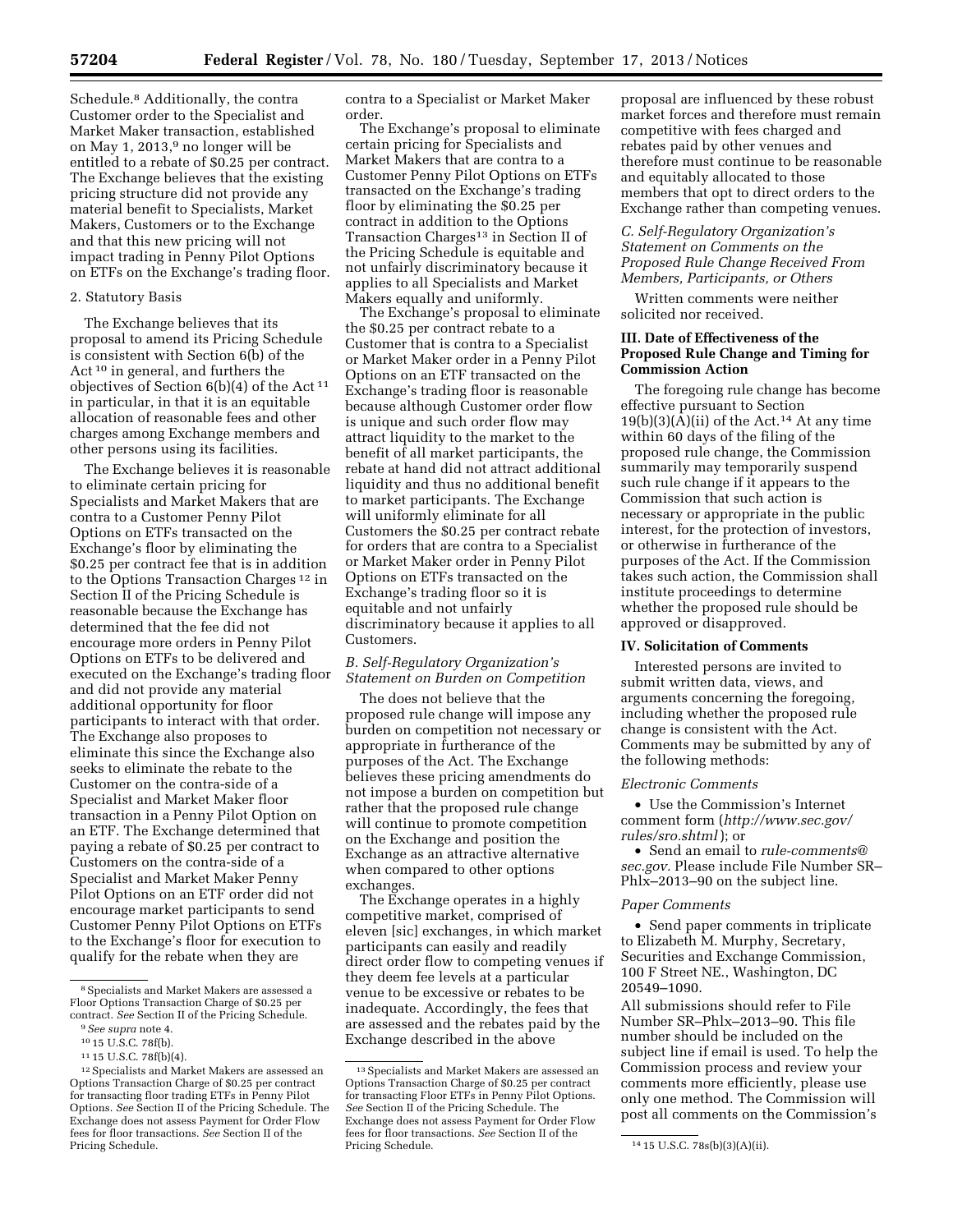Schedule.8 Additionally, the contra Customer order to the Specialist and Market Maker transaction, established on May 1, 2013,9 no longer will be entitled to a rebate of \$0.25 per contract. The Exchange believes that the existing pricing structure did not provide any material benefit to Specialists, Market Makers, Customers or to the Exchange and that this new pricing will not impact trading in Penny Pilot Options on ETFs on the Exchange's trading floor.

### 2. Statutory Basis

The Exchange believes that its proposal to amend its Pricing Schedule is consistent with Section 6(b) of the Act 10 in general, and furthers the objectives of Section  $6(b)(4)$  of the Act<sup>11</sup> in particular, in that it is an equitable allocation of reasonable fees and other charges among Exchange members and other persons using its facilities.

The Exchange believes it is reasonable to eliminate certain pricing for Specialists and Market Makers that are contra to a Customer Penny Pilot Options on ETFs transacted on the Exchange's floor by eliminating the \$0.25 per contract fee that is in addition to the Options Transaction Charges 12 in Section II of the Pricing Schedule is reasonable because the Exchange has determined that the fee did not encourage more orders in Penny Pilot Options on ETFs to be delivered and executed on the Exchange's trading floor and did not provide any material additional opportunity for floor participants to interact with that order. The Exchange also proposes to eliminate this since the Exchange also seeks to eliminate the rebate to the Customer on the contra-side of a Specialist and Market Maker floor transaction in a Penny Pilot Option on an ETF. The Exchange determined that paying a rebate of \$0.25 per contract to Customers on the contra-side of a Specialist and Market Maker Penny Pilot Options on an ETF order did not encourage market participants to send Customer Penny Pilot Options on ETFs to the Exchange's floor for execution to qualify for the rebate when they are

contra to a Specialist or Market Maker order.

The Exchange's proposal to eliminate certain pricing for Specialists and Market Makers that are contra to a Customer Penny Pilot Options on ETFs transacted on the Exchange's trading floor by eliminating the \$0.25 per contract in addition to the Options Transaction Charges<sup>13</sup> in Section II of the Pricing Schedule is equitable and not unfairly discriminatory because it applies to all Specialists and Market Makers equally and uniformly.

The Exchange's proposal to eliminate the \$0.25 per contract rebate to a Customer that is contra to a Specialist or Market Maker order in a Penny Pilot Options on an ETF transacted on the Exchange's trading floor is reasonable because although Customer order flow is unique and such order flow may attract liquidity to the market to the benefit of all market participants, the rebate at hand did not attract additional liquidity and thus no additional benefit to market participants. The Exchange will uniformly eliminate for all Customers the \$0.25 per contract rebate for orders that are contra to a Specialist or Market Maker order in Penny Pilot Options on ETFs transacted on the Exchange's trading floor so it is equitable and not unfairly discriminatory because it applies to all Customers.

## *B. Self-Regulatory Organization's Statement on Burden on Competition*

The does not believe that the proposed rule change will impose any burden on competition not necessary or appropriate in furtherance of the purposes of the Act. The Exchange believes these pricing amendments do not impose a burden on competition but rather that the proposed rule change will continue to promote competition on the Exchange and position the Exchange as an attractive alternative when compared to other options exchanges.

The Exchange operates in a highly competitive market, comprised of eleven [sic] exchanges, in which market participants can easily and readily direct order flow to competing venues if they deem fee levels at a particular venue to be excessive or rebates to be inadequate. Accordingly, the fees that are assessed and the rebates paid by the Exchange described in the above

proposal are influenced by these robust market forces and therefore must remain competitive with fees charged and rebates paid by other venues and therefore must continue to be reasonable and equitably allocated to those members that opt to direct orders to the Exchange rather than competing venues.

## *C. Self-Regulatory Organization's Statement on Comments on the Proposed Rule Change Received From Members, Participants, or Others*

Written comments were neither solicited nor received.

## **III. Date of Effectiveness of the Proposed Rule Change and Timing for Commission Action**

The foregoing rule change has become effective pursuant to Section  $19(b)(3)(A)(ii)$  of the Act.<sup>14</sup> At any time within 60 days of the filing of the proposed rule change, the Commission summarily may temporarily suspend such rule change if it appears to the Commission that such action is necessary or appropriate in the public interest, for the protection of investors, or otherwise in furtherance of the purposes of the Act. If the Commission takes such action, the Commission shall institute proceedings to determine whether the proposed rule should be approved or disapproved.

#### **IV. Solicitation of Comments**

Interested persons are invited to submit written data, views, and arguments concerning the foregoing, including whether the proposed rule change is consistent with the Act. Comments may be submitted by any of the following methods:

### *Electronic Comments*

• Use the Commission's Internet comment form (*[http://www.sec.gov/](http://www.sec.gov/rules/sro.shtml) [rules/sro.shtml](http://www.sec.gov/rules/sro.shtml)* ); or

• Send an email to *[rule-comments@](mailto:rule-comments@sec.gov) [sec.gov.](mailto:rule-comments@sec.gov)* Please include File Number SR– Phlx–2013–90 on the subject line.

#### *Paper Comments*

• Send paper comments in triplicate to Elizabeth M. Murphy, Secretary, Securities and Exchange Commission, 100 F Street NE., Washington, DC 20549–1090.

All submissions should refer to File Number SR–Phlx–2013–90. This file number should be included on the subject line if email is used. To help the Commission process and review your comments more efficiently, please use only one method. The Commission will post all comments on the Commission's

<sup>8</sup>Specialists and Market Makers are assessed a Floor Options Transaction Charge of \$0.25 per contract. *See* Section II of the Pricing Schedule.

<sup>9</sup>*See supra* note 4.

<sup>10</sup> 15 U.S.C. 78f(b).

<sup>11</sup> 15 U.S.C. 78f(b)(4).

<sup>12</sup>Specialists and Market Makers are assessed an Options Transaction Charge of \$0.25 per contract for transacting floor trading ETFs in Penny Pilot Options. *See* Section II of the Pricing Schedule. The Exchange does not assess Payment for Order Flow fees for floor transactions. *See* Section II of the Pricing Schedule.

<sup>13</sup>Specialists and Market Makers are assessed an Options Transaction Charge of \$0.25 per contract for transacting Floor ETFs in Penny Pilot Options. *See* Section II of the Pricing Schedule. The Exchange does not assess Payment for Order Flow fees for floor transactions. *See* Section II of the

<sup>14 15</sup> U.S.C. 78s(b)(3)(A)(ii).